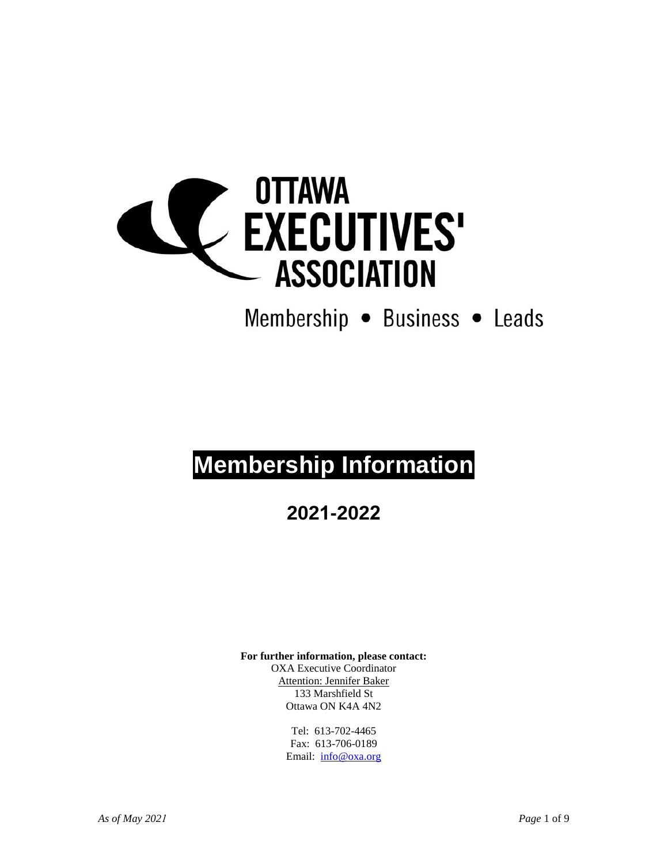

Membership . Business . Leads

# **Membership Information**

# **2021-2022**

**For further information, please contact:**  OXA Executive Coordinator

Attention: Jennifer Baker 133 Marshfield St Ottawa ON K4A 4N2

Tel: 613-702-4465 Fax: 613-706-0189 Email: [info@oxa.org](mailto:info@oxa.org)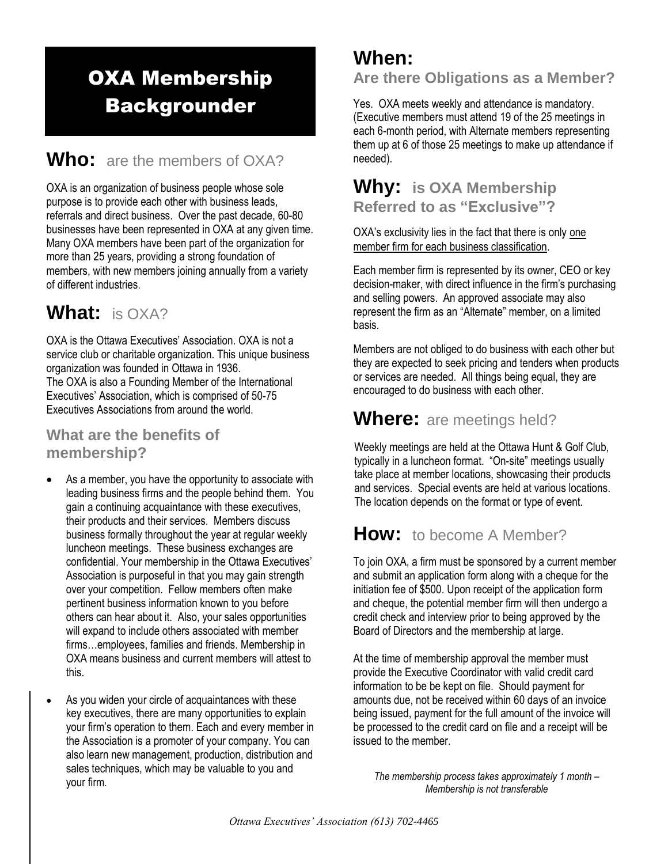# OXA Membership Backgrounder

# **Who:** are the members of OXA?

OXA is an organization of business people whose sole purpose is to provide each other with business leads, referrals and direct business. Over the past decade, 60-80 businesses have been represented in OXA at any given time. Many OXA members have been part of the organization for more than 25 years, providing a strong foundation of members, with new members joining annually from a variety of different industries.

# **What:** is OXA?

OXA is the Ottawa Executives' Association. OXA is not a service club or charitable organization. This unique business organization was founded in Ottawa in 1936. The OXA is also a Founding Member of the International Executives' Association, which is comprised of 50-75 Executives Associations from around the world.

### **What are the benefits of membership?**

- As a member, you have the opportunity to associate with leading business firms and the people behind them. You gain a continuing acquaintance with these executives, their products and their services. Members discuss business formally throughout the year at regular weekly luncheon meetings. These business exchanges are confidential. Your membership in the Ottawa Executives' Association is purposeful in that you may gain strength over your competition. Fellow members often make pertinent business information known to you before others can hear about it. Also, your sales opportunities will expand to include others associated with member firms…employees, families and friends. Membership in OXA means business and current members will attest to this.
- As you widen your circle of acquaintances with these key executives, there are many opportunities to explain your firm's operation to them. Each and every member in the Association is a promoter of your company. You can also learn new management, production, distribution and sales techniques, which may be valuable to you and your firm.

# **When:**

#### **Are there Obligations as a Member?**

Yes. OXA meets weekly and attendance is mandatory. (Executive members must attend 19 of the 25 meetings in each 6-month period, with Alternate members representing them up at 6 of those 25 meetings to make up attendance if needed).

### **Why: is OXA Membership Referred to as "Exclusive"?**

OXA's exclusivity lies in the fact that there is only one member firm for each business classification.

Each member firm is represented by its owner, CEO or key decision-maker, with direct influence in the firm's purchasing and selling powers. An approved associate may also represent the firm as an "Alternate" member, on a limited basis.

Members are not obliged to do business with each other but they are expected to seek pricing and tenders when products or services are needed. All things being equal, they are encouraged to do business with each other.

### **Where:** are meetings held?

Weekly meetings are held at the Ottawa Hunt & Golf Club, typically in a luncheon format. "On-site" meetings usually take place at member locations, showcasing their products and services. Special events are held at various locations. The location depends on the format or type of event.

### **How:** to become A Member?

To join OXA, a firm must be sponsored by a current member and submit an application form along with a cheque for the initiation fee of \$500. Upon receipt of the application form and cheque, the potential member firm will then undergo a credit check and interview prior to being approved by the Board of Directors and the membership at large.

At the time of membership approval the member must provide the Executive Coordinator with valid credit card information to be be kept on file. Should payment for amounts due, not be received within 60 days of an invoice being issued, payment for the full amount of the invoice will be processed to the credit card on file and a receipt will be issued to the member.

*The membership process takes approximately 1 month – Membership is not transferable*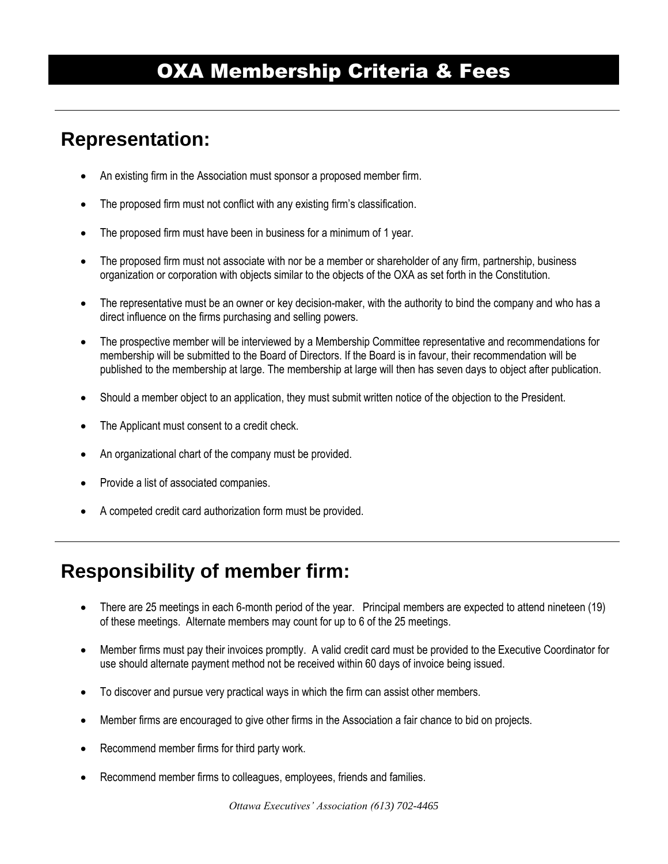# OXA Membership Criteria & Fees

# **Representation:**

- An existing firm in the Association must sponsor a proposed member firm.
- The proposed firm must not conflict with any existing firm's classification.
- The proposed firm must have been in business for a minimum of 1 year.
- The proposed firm must not associate with nor be a member or shareholder of any firm, partnership, business organization or corporation with objects similar to the objects of the OXA as set forth in the Constitution.
- The representative must be an owner or key decision-maker, with the authority to bind the company and who has a direct influence on the firms purchasing and selling powers.
- The prospective member will be interviewed by a Membership Committee representative and recommendations for membership will be submitted to the Board of Directors. If the Board is in favour, their recommendation will be published to the membership at large. The membership at large will then has seven days to object after publication.
- Should a member object to an application, they must submit written notice of the objection to the President.
- The Applicant must consent to a credit check.
- An organizational chart of the company must be provided.
- Provide a list of associated companies.
- A competed credit card authorization form must be provided.

# **Responsibility of member firm:**

- There are 25 meetings in each 6-month period of the year. Principal members are expected to attend nineteen (19) of these meetings. Alternate members may count for up to 6 of the 25 meetings.
- Member firms must pay their invoices promptly. A valid credit card must be provided to the Executive Coordinator for use should alternate payment method not be received within 60 days of invoice being issued.
- To discover and pursue very practical ways in which the firm can assist other members.
- Member firms are encouraged to give other firms in the Association a fair chance to bid on projects.
- Recommend member firms for third party work.
- Recommend member firms to colleagues, employees, friends and families.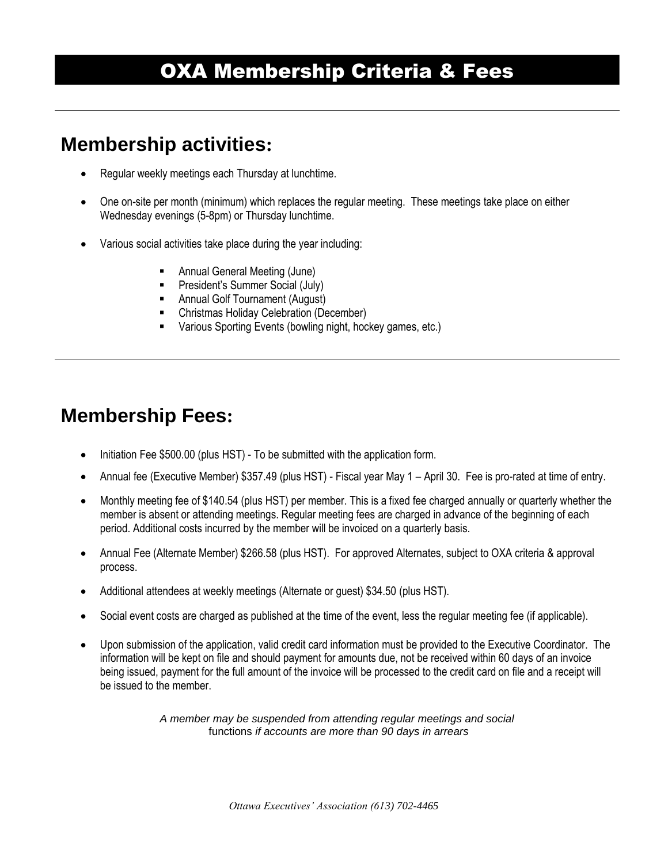# OXA Membership Criteria & Fees

## **Membership activities:**

- Regular weekly meetings each Thursday at lunchtime.
- One on-site per month (minimum) which replaces the regular meeting. These meetings take place on either Wednesday evenings (5-8pm) or Thursday lunchtime.
- Various social activities take place during the year including:
	- Annual General Meeting (June)
	- **President's Summer Social (July)**
	- **Annual Golf Tournament (August)**
	- Christmas Holiday Celebration (December)
	- Various Sporting Events (bowling night, hockey games, etc.)

### **Membership Fees:**

- Initiation Fee \$500.00 (plus HST) To be submitted with the application form.
- Annual fee (Executive Member) \$357.49 (plus HST) Fiscal year May 1 April 30. Fee is pro-rated at time of entry.
- Monthly meeting fee of \$140.54 (plus HST) per member. This is a fixed fee charged annually or quarterly whether the member is absent or attending meetings. Regular meeting fees are charged in advance of the beginning of each period. Additional costs incurred by the member will be invoiced on a quarterly basis.
- Annual Fee (Alternate Member) \$266.58 (plus HST). For approved Alternates, subject to OXA criteria & approval process.
- Additional attendees at weekly meetings (Alternate or guest) \$34.50 (plus HST).
- Social event costs are charged as published at the time of the event, less the regular meeting fee (if applicable).
- Upon submission of the application, valid credit card information must be provided to the Executive Coordinator. The information will be kept on file and should payment for amounts due, not be received within 60 days of an invoice being issued, payment for the full amount of the invoice will be processed to the credit card on file and a receipt will be issued to the member.

*A member may be suspended from attending regular meetings and social* functions *if accounts are more than 90 days in arrears*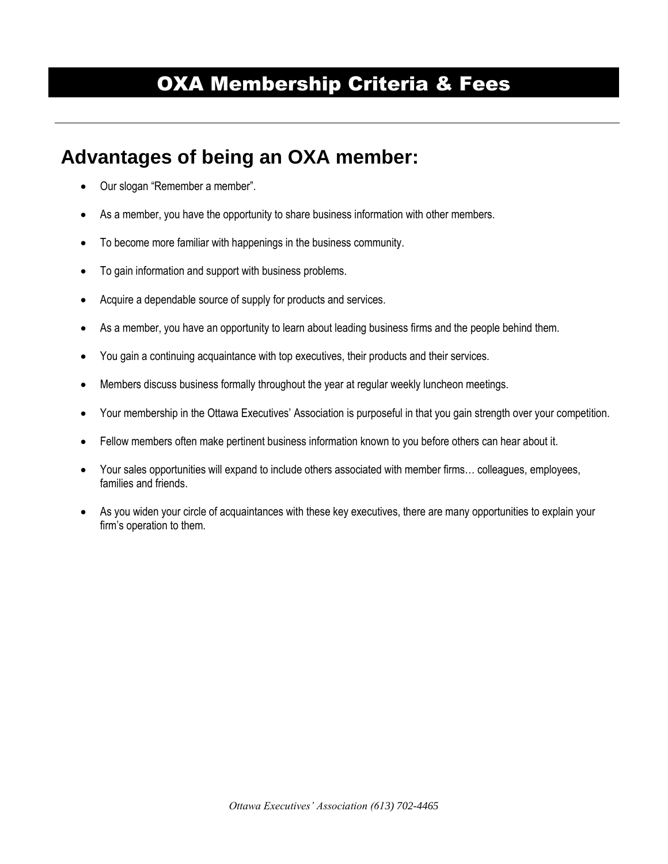# OXA Membership Criteria & Fees

# **Advantages of being an OXA member:**

- Our slogan "Remember a member".
- As a member, you have the opportunity to share business information with other members.
- To become more familiar with happenings in the business community.
- To gain information and support with business problems.
- Acquire a dependable source of supply for products and services.
- As a member, you have an opportunity to learn about leading business firms and the people behind them.
- You gain a continuing acquaintance with top executives, their products and their services.
- Members discuss business formally throughout the year at regular weekly luncheon meetings.
- Your membership in the Ottawa Executives' Association is purposeful in that you gain strength over your competition.
- Fellow members often make pertinent business information known to you before others can hear about it.
- Your sales opportunities will expand to include others associated with member firms… colleagues, employees, families and friends.
- As you widen your circle of acquaintances with these key executives, there are many opportunities to explain your firm's operation to them.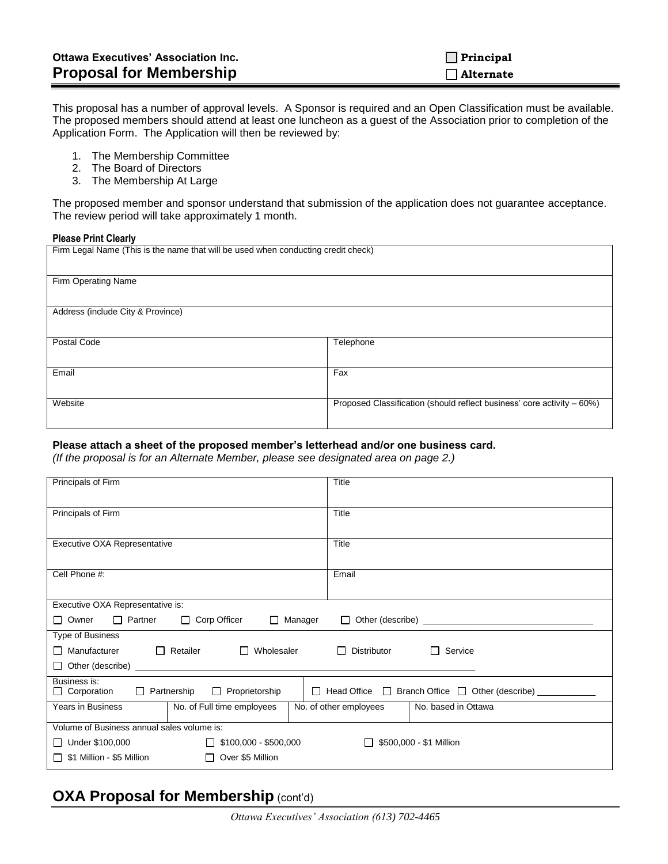| <b>Ottawa Executives' Association Inc.</b> | $\Box$ Principal |
|--------------------------------------------|------------------|
| <b>Proposal for Membership</b>             | $\Box$ Alternate |

This proposal has a number of approval levels. A Sponsor is required and an Open Classification must be available. The proposed members should attend at least one luncheon as a guest of the Association prior to completion of the Application Form. The Application will then be reviewed by:

- 1. The Membership Committee
- 2. The Board of Directors
- 3. The Membership At Large

The proposed member and sponsor understand that submission of the application does not guarantee acceptance. The review period will take approximately 1 month.

#### **Please Print Clearly**

| Firm Legal Name (This is the name that will be used when conducting credit check) |                                                                        |  |  |  |
|-----------------------------------------------------------------------------------|------------------------------------------------------------------------|--|--|--|
| Firm Operating Name                                                               |                                                                        |  |  |  |
| Address (include City & Province)                                                 |                                                                        |  |  |  |
| Postal Code                                                                       | Telephone                                                              |  |  |  |
| Email                                                                             | Fax                                                                    |  |  |  |
| Website                                                                           | Proposed Classification (should reflect business' core activity - 60%) |  |  |  |

#### **Please attach a sheet of the proposed member's letterhead and/or one business card.**

*(If the proposal is for an Alternate Member, please see designated area on page 2.)* 

| Principals of Firm                                                                                                | Title                                                                      |  |  |  |  |
|-------------------------------------------------------------------------------------------------------------------|----------------------------------------------------------------------------|--|--|--|--|
| Principals of Firm                                                                                                | Title                                                                      |  |  |  |  |
| Executive OXA Representative                                                                                      | Title                                                                      |  |  |  |  |
| Cell Phone #:                                                                                                     | Email                                                                      |  |  |  |  |
| Executive OXA Representative is:                                                                                  |                                                                            |  |  |  |  |
| $\Box$ Partner<br>$\Box$ Corp Officer<br>□ Manager<br>Other (describe)<br>□ Owner                                 |                                                                            |  |  |  |  |
| Type of Business                                                                                                  |                                                                            |  |  |  |  |
| Retailer<br>$\Box$ Manufacturer<br>$\Box$ Distributor<br>$\Box$ Service<br>Wholesaler<br><b>Contract Contract</b> |                                                                            |  |  |  |  |
|                                                                                                                   |                                                                            |  |  |  |  |
| Business is:<br>□ Corporation<br>$\Box$ Partnership<br>$\Box$ Proprietorship                                      | $\Box$ Head Office $\Box$ Branch Office $\Box$ Other (describe) __________ |  |  |  |  |
| Years in Business<br>No. of Full time employees                                                                   | No. based in Ottawa<br>No. of other employees                              |  |  |  |  |
| Volume of Business annual sales volume is:                                                                        |                                                                            |  |  |  |  |
| $\Box$ \$100,000 - \$500,000<br>\$500,000 - \$1 Million<br>$\Box$ Under \$100,000                                 |                                                                            |  |  |  |  |
| \$1 Million - \$5 Million<br>Over \$5 Million<br>$\Box$<br>$\perp$                                                |                                                                            |  |  |  |  |

### **OXA Proposal for Membership** (cont'd)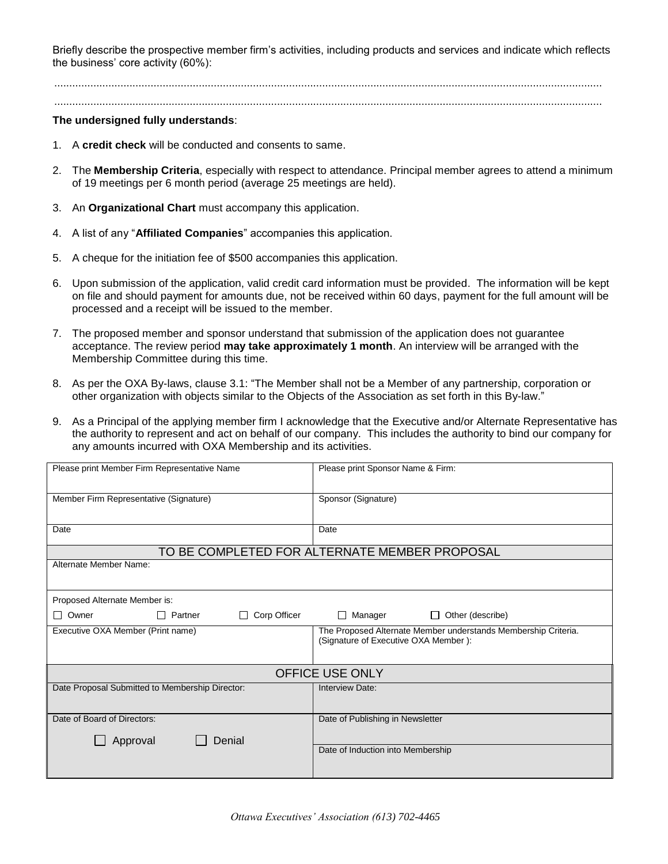Briefly describe the prospective member firm's activities, including products and services and indicate which reflects the business' core activity (60%):

......................................................................................................................................................................................

......................................................................................................................................................................................

#### **The undersigned fully understands**:

- 1. A **credit check** will be conducted and consents to same.
- 2. The **Membership Criteria**, especially with respect to attendance. Principal member agrees to attend a minimum of 19 meetings per 6 month period (average 25 meetings are held).
- 3. An **Organizational Chart** must accompany this application.
- 4. A list of any "**Affiliated Companies**" accompanies this application.
- 5. A cheque for the initiation fee of \$500 accompanies this application.
- 6. Upon submission of the application, valid credit card information must be provided. The information will be kept on file and should payment for amounts due, not be received within 60 days, payment for the full amount will be processed and a receipt will be issued to the member.
- 7. The proposed member and sponsor understand that submission of the application does not guarantee acceptance. The review period **may take approximately 1 month**. An interview will be arranged with the Membership Committee during this time.
- 8. As per the OXA By-laws, clause 3.1: "The Member shall not be a Member of any partnership, corporation or other organization with objects similar to the Objects of the Association as set forth in this By-law."
- 9. As a Principal of the applying member firm I acknowledge that the Executive and/or Alternate Representative has the authority to represent and act on behalf of our company. This includes the authority to bind our company for any amounts incurred with OXA Membership and its activities.

| Please print Member Firm Representative Name      | Please print Sponsor Name & Firm:                                                                      |  |  |  |
|---------------------------------------------------|--------------------------------------------------------------------------------------------------------|--|--|--|
| Member Firm Representative (Signature)            | Sponsor (Signature)                                                                                    |  |  |  |
| Date                                              | Date                                                                                                   |  |  |  |
|                                                   | TO BE COMPLETED FOR ALTERNATE MEMBER PROPOSAL                                                          |  |  |  |
| Alternate Member Name:                            |                                                                                                        |  |  |  |
| Proposed Alternate Member is:                     |                                                                                                        |  |  |  |
| Corp Officer<br>□ Owner<br>Partner<br>$\Box$      | Other (describe)<br>Manager<br>$\Box$<br>$\perp$                                                       |  |  |  |
| Executive OXA Member (Print name)                 | The Proposed Alternate Member understands Membership Criteria.<br>(Signature of Executive OXA Member): |  |  |  |
| OFFICE USE ONLY                                   |                                                                                                        |  |  |  |
| Date Proposal Submitted to Membership Director:   | Interview Date:                                                                                        |  |  |  |
| Date of Board of Directors:<br>Approval<br>Denial | Date of Publishing in Newsletter                                                                       |  |  |  |
|                                                   | Date of Induction into Membership                                                                      |  |  |  |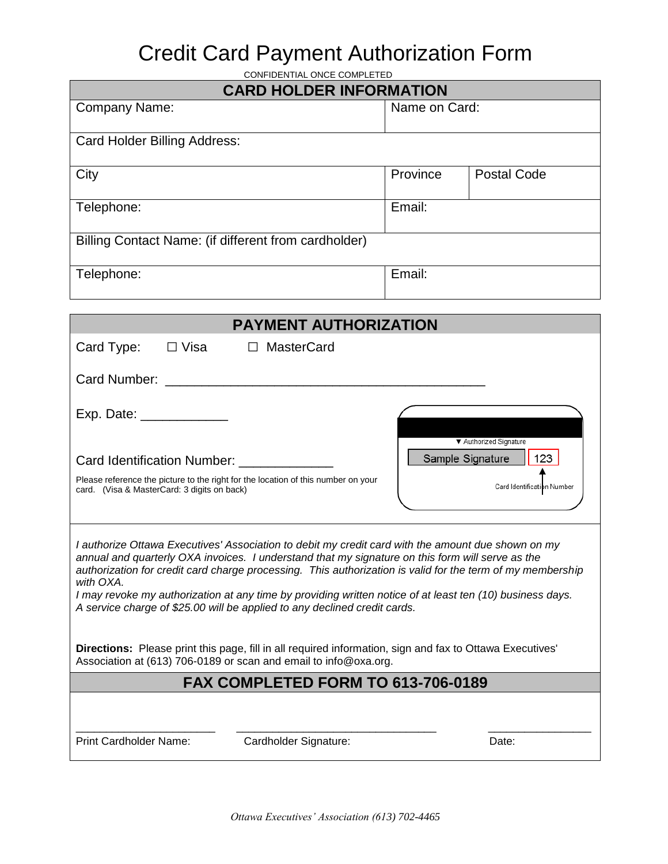# Credit Card Payment Authorization Form

CONFIDENTIAL ONCE COMPLETED

| CONFIDENTIAL ONCE COMPLETED<br><b>CARD HOLDER INFORMATION</b> |               |                                                   |  |  |  |  |
|---------------------------------------------------------------|---------------|---------------------------------------------------|--|--|--|--|
| Company Name:                                                 | Name on Card: |                                                   |  |  |  |  |
| Card Holder Billing Address:                                  |               |                                                   |  |  |  |  |
| City                                                          | Province      | <b>Postal Code</b>                                |  |  |  |  |
| Telephone:                                                    | Email:        |                                                   |  |  |  |  |
| Billing Contact Name: (if different from cardholder)          |               |                                                   |  |  |  |  |
| Telephone:                                                    | Email:        |                                                   |  |  |  |  |
|                                                               |               |                                                   |  |  |  |  |
| <b>PAYMENT AUTHORIZATION</b>                                  |               |                                                   |  |  |  |  |
| Card Type: □ Visa □ MasterCard                                |               |                                                   |  |  |  |  |
|                                                               |               |                                                   |  |  |  |  |
| Exp. Date: _______________                                    |               |                                                   |  |  |  |  |
| Card Identification Number: _______                           |               | ▼ Authorized Signature<br>123<br>Sample Signature |  |  |  |  |

Please reference the picture to the right for the location of this number on your card. (Visa & MasterCard: 3 digits on back)

*I authorize Ottawa Executives' Association to debit my credit card with the amount due shown on my annual and quarterly OXA invoices. I understand that my signature on this form will serve as the authorization for credit card charge processing. This authorization is valid for the term of my membership with OXA.*

*I may revoke my authorization at any time by providing written notice of at least ten (10) business days. A service charge of \$25.00 will be applied to any declined credit cards.* 

**Directions:** Please print this page, fill in all required information, sign and fax to Ottawa Executives' Association at (613) 706-0189 or scan and email to info@oxa.org.

#### **FAX COMPLETED FORM TO 613-706-0189**

\_\_\_\_\_\_\_\_\_\_\_\_\_\_\_\_\_\_\_\_\_\_\_ \_\_\_\_\_\_\_\_\_\_\_\_\_\_\_\_\_\_\_\_\_\_\_\_\_\_\_\_\_\_\_\_\_ \_\_\_\_\_\_\_\_\_\_\_\_\_\_\_\_\_

Print Cardholder Name: Cardholder Signature: Date:

Card Identification Number